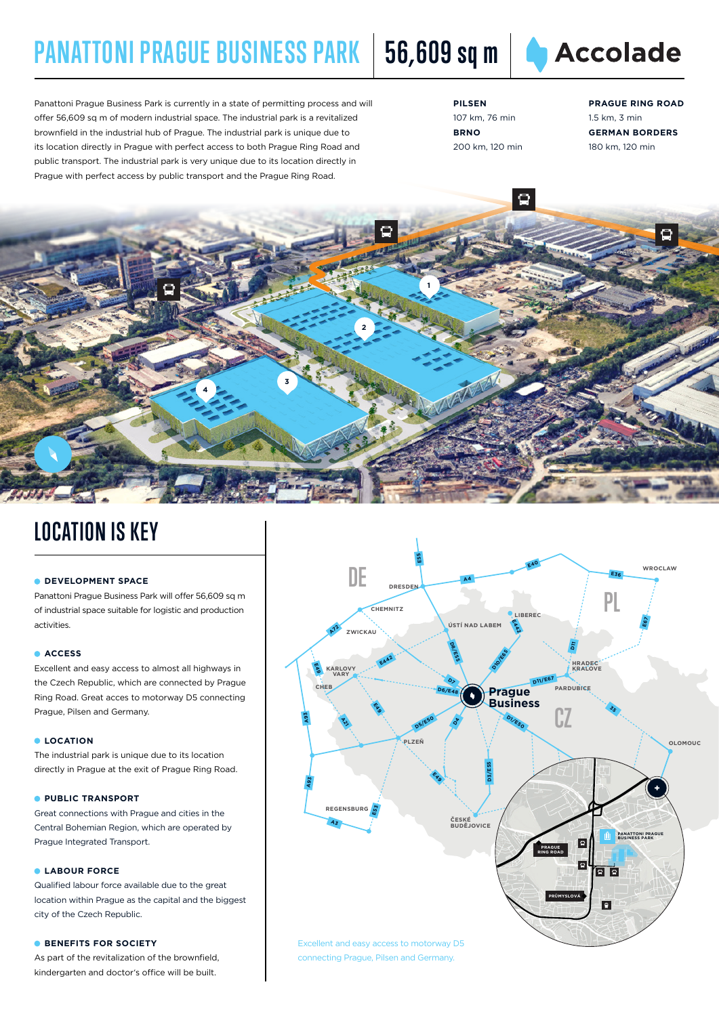# **PANATTONI PRAGUE BUSINESS PARK** | 56,609 sq m | ● Accolade

**1**

**2**

**3**



Panattoni Prague Business Park is currently in a state of permitting process and will offer 56,609 sq m of modern industrial space. The industrial park is a revitalized brownfield in the industrial hub of Prague. The industrial park is unique due to its location directly in Prague with perfect access to both Prague Ring Road and public transport. The industrial park is very unique due to its location directly in Prague with perfect access by public transport and the Prague Ring Road.

**4**

**PILSEN** 107 km, 76 min **BRNO** 200 km, 120 min

Ō

**PRAGUE RING ROAD** 1.5 km, 3 min **GERMAN BORDERS** 180 km, 120 min

## **LOCATION IS KEY**

#### **CDEVELOPMENT SPACE**

Panattoni Prague Business Park will offer 56,609 sq m of industrial space suitable for logistic and production activities.

### **ACCESS**

Excellent and easy access to almost all highways in the Czech Republic, which are connected by Prague Ring Road. Great acces to motorway D5 connecting Prague, Pilsen and Germany.

#### **LOCATION**

The industrial park is unique due to its location directly in Prague at the exit of Prague Ring Road.

### **PUBLIC TRANSPORT**

Great connections with Prague and cities in the Central Bohemian Region, which are operated by Prague Integrated Transport.

### **LABOUR FORCE**

Qualified labour force available due to the great location within Prague as the capital and the biggest city of the Czech Republic.

### **BENEFITS FOR SOCIETY**

As part of the revitalization of the brownfield, kindergarten and doctor's office will be built.